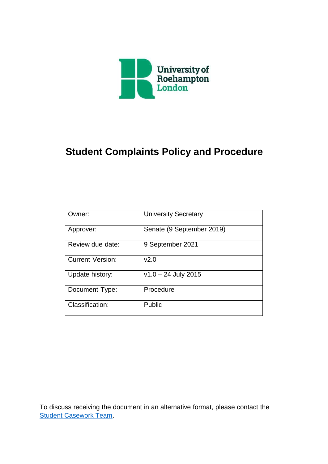

# **Student Complaints Policy and Procedure**

| Owner:                  | <b>University Secretary</b> |
|-------------------------|-----------------------------|
| Approver:               | Senate (9 September 2019)   |
| Review due date:        | 9 September 2021            |
| <b>Current Version:</b> | v2.0                        |
| Update history:         | $v1.0 - 24$ July 2015       |
| Document Type:          | Procedure                   |
| Classification:         | Public                      |

To discuss receiving the document in an alternative format, please contact the [Student Casework Team.](mailto:studentcomplaints@roehampton.ac.uk)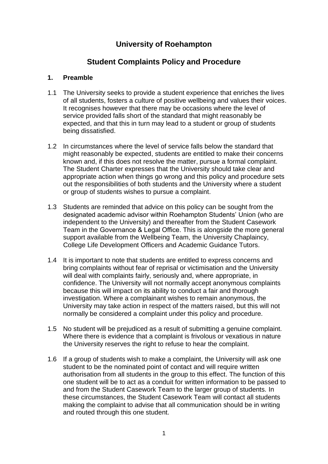# **University of Roehampton**

# **Student Complaints Policy and Procedure**

### **1. Preamble**

- 1.1 The University seeks to provide a student experience that enriches the lives of all students, fosters a culture of positive wellbeing and values their voices. It recognises however that there may be occasions where the level of service provided falls short of the standard that might reasonably be expected, and that this in turn may lead to a student or group of students being dissatisfied.
- 1.2 In circumstances where the level of service falls below the standard that might reasonably be expected, students are entitled to make their concerns known and, if this does not resolve the matter, pursue a formal complaint. The Student Charter expresses that the University should take clear and appropriate action when things go wrong and this policy and procedure sets out the responsibilities of both students and the University where a student or group of students wishes to pursue a complaint.
- 1.3 Students are reminded that advice on this policy can be sought from the designated academic advisor within Roehampton Students' Union (who are independent to the University) and thereafter from the Student Casework Team in the Governance & Legal Office. This is alongside the more general support available from the Wellbeing Team, the University Chaplaincy, College Life Development Officers and Academic Guidance Tutors.
- 1.4 It is important to note that students are entitled to express concerns and bring complaints without fear of reprisal or victimisation and the University will deal with complaints fairly, seriously and, where appropriate, in confidence. The University will not normally accept anonymous complaints because this will impact on its ability to conduct a fair and thorough investigation. Where a complainant wishes to remain anonymous, the University may take action in respect of the matters raised, but this will not normally be considered a complaint under this policy and procedure.
- 1.5 No student will be prejudiced as a result of submitting a genuine complaint. Where there is evidence that a complaint is frivolous or vexatious in nature the University reserves the right to refuse to hear the complaint.
- 1.6 If a group of students wish to make a complaint, the University will ask one student to be the nominated point of contact and will require written authorisation from all students in the group to this effect. The function of this one student will be to act as a conduit for written information to be passed to and from the Student Casework Team to the larger group of students. In these circumstances, the Student Casework Team will contact all students making the complaint to advise that all communication should be in writing and routed through this one student.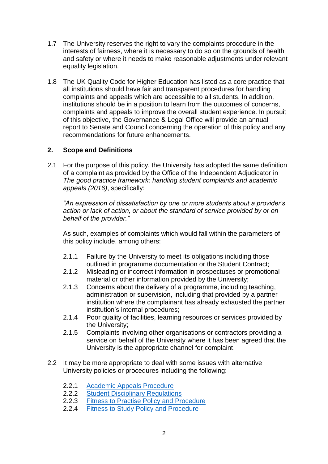- 1.7 The University reserves the right to vary the complaints procedure in the interests of fairness, where it is necessary to do so on the grounds of health and safety or where it needs to make reasonable adjustments under relevant equality legislation.
- 1.8 The UK Quality Code for Higher Education has listed as a core practice that all institutions should have fair and transparent procedures for handling complaints and appeals which are accessible to all students. In addition, institutions should be in a position to learn from the outcomes of concerns, complaints and appeals to improve the overall student experience. In pursuit of this objective, the Governance & Legal Office will provide an annual report to Senate and Council concerning the operation of this policy and any recommendations for future enhancements.

#### **2. Scope and Definitions**

2.1 For the purpose of this policy, the University has adopted the same definition of a complaint as provided by the Office of the Independent Adjudicator in *The good practice framework: handling student complaints and academic appeals (2016)*, specifically:

*"An expression of dissatisfaction by one or more students about a provider's action or lack of action, or about the standard of service provided by or on behalf of the provider."*

As such, examples of complaints which would fall within the parameters of this policy include, among others:

- 2.1.1 Failure by the University to meet its obligations including those outlined in programme documentation or the Student Contract;
- 2.1.2 Misleading or incorrect information in prospectuses or promotional material or other information provided by the University;
- 2.1.3 Concerns about the delivery of a programme, including teaching, administration or supervision, including that provided by a partner institution where the complainant has already exhausted the partner institution's internal procedures;
- 2.1.4 Poor quality of facilities, learning resources or services provided by the University;
- 2.1.5 Complaints involving other organisations or contractors providing a service on behalf of the University where it has been agreed that the University is the appropriate channel for complaint.
- 2.2 It may be more appropriate to deal with some issues with alternative University policies or procedures including the following:
	- 2.2.1 [Academic Appeals Procedure](https://www.roehampton.ac.uk/corporate-information/quality-and-standards/academic-regulations/)
	- 2.2.2 [Student Disciplinary Regulations](https://www.roehampton.ac.uk/corporate-information/policies/)
	- 2.2.3 [Fitness to Practise Policy and Procedure](https://www.roehampton.ac.uk/corporate-information/policies/)
	- 2.2.4 Fitness to Study [Policy and Procedure](https://www.roehampton.ac.uk/corporate-information/policies/)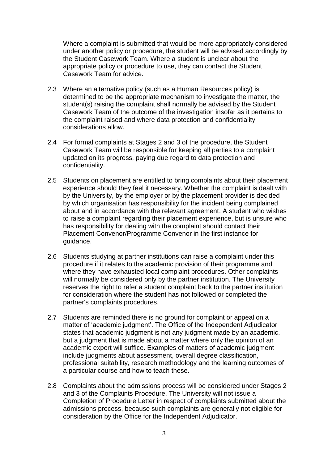Where a complaint is submitted that would be more appropriately considered under another policy or procedure, the student will be advised accordingly by the Student Casework Team. Where a student is unclear about the appropriate policy or procedure to use, they can contact the Student Casework Team for advice.

- 2.3 Where an alternative policy (such as a Human Resources policy) is determined to be the appropriate mechanism to investigate the matter, the student(s) raising the complaint shall normally be advised by the Student Casework Team of the outcome of the investigation insofar as it pertains to the complaint raised and where data protection and confidentiality considerations allow.
- 2.4 For formal complaints at Stages 2 and 3 of the procedure, the Student Casework Team will be responsible for keeping all parties to a complaint updated on its progress, paying due regard to data protection and confidentiality.
- 2.5 Students on placement are entitled to bring complaints about their placement experience should they feel it necessary. Whether the complaint is dealt with by the University, by the employer or by the placement provider is decided by which organisation has responsibility for the incident being complained about and in accordance with the relevant agreement. A student who wishes to raise a complaint regarding their placement experience, but is unsure who has responsibility for dealing with the complaint should contact their Placement Convenor/Programme Convenor in the first instance for guidance.
- 2.6 Students studying at partner institutions can raise a complaint under this procedure if it relates to the academic provision of their programme and where they have exhausted local complaint procedures. Other complaints will normally be considered only by the partner institution. The University reserves the right to refer a student complaint back to the partner institution for consideration where the student has not followed or completed the partner's complaints procedures.
- 2.7 Students are reminded there is no ground for complaint or appeal on a matter of 'academic judgment'. The Office of the Independent Adjudicator states that academic judgment is not any judgment made by an academic, but a judgment that is made about a matter where only the opinion of an academic expert will suffice. Examples of matters of academic judgment include judgments about assessment, overall degree classification, professional suitability, research methodology and the learning outcomes of a particular course and how to teach these.
- 2.8 Complaints about the admissions process will be considered under Stages 2 and 3 of the Complaints Procedure. The University will not issue a Completion of Procedure Letter in respect of complaints submitted about the admissions process, because such complaints are generally not eligible for consideration by the Office for the Independent Adjudicator.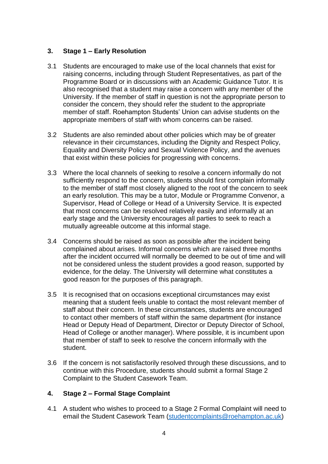### **3. Stage 1 – Early Resolution**

- 3.1 Students are encouraged to make use of the local channels that exist for raising concerns, including through Student Representatives, as part of the Programme Board or in discussions with an Academic Guidance Tutor. It is also recognised that a student may raise a concern with any member of the University. If the member of staff in question is not the appropriate person to consider the concern, they should refer the student to the appropriate member of staff. Roehampton Students' Union can advise students on the appropriate members of staff with whom concerns can be raised.
- 3.2 Students are also reminded about other policies which may be of greater relevance in their circumstances, including the Dignity and Respect Policy, Equality and Diversity Policy and Sexual Violence Policy, and the avenues that exist within these policies for progressing with concerns.
- 3.3 Where the local channels of seeking to resolve a concern informally do not sufficiently respond to the concern, students should first complain informally to the member of staff most closely aligned to the root of the concern to seek an early resolution. This may be a tutor, Module or Programme Convenor, a Supervisor, Head of College or Head of a University Service. It is expected that most concerns can be resolved relatively easily and informally at an early stage and the University encourages all parties to seek to reach a mutually agreeable outcome at this informal stage.
- 3.4 Concerns should be raised as soon as possible after the incident being complained about arises. Informal concerns which are raised three months after the incident occurred will normally be deemed to be out of time and will not be considered unless the student provides a good reason, supported by evidence, for the delay. The University will determine what constitutes a good reason for the purposes of this paragraph.
- 3.5 It is recognised that on occasions exceptional circumstances may exist meaning that a student feels unable to contact the most relevant member of staff about their concern. In these circumstances, students are encouraged to contact other members of staff within the same department (for instance Head or Deputy Head of Department, Director or Deputy Director of School, Head of College or another manager). Where possible, it is incumbent upon that member of staff to seek to resolve the concern informally with the student.
- 3.6 If the concern is not satisfactorily resolved through these discussions, and to continue with this Procedure, students should submit a formal Stage 2 Complaint to the Student Casework Team.

## **4. Stage 2 – Formal Stage Complaint**

4.1 A student who wishes to proceed to a Stage 2 Formal Complaint will need to email the Student Casework Team [\(studentcomplaints@roehampton.ac.uk\)](mailto:studentcomplaints@roehampton.ac.uk)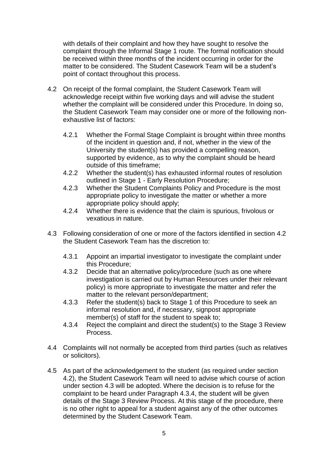with details of their complaint and how they have sought to resolve the complaint through the Informal Stage 1 route. The formal notification should be received within three months of the incident occurring in order for the matter to be considered. The Student Casework Team will be a student's point of contact throughout this process.

- 4.2 On receipt of the formal complaint, the Student Casework Team will acknowledge receipt within five working days and will advise the student whether the complaint will be considered under this Procedure. In doing so, the Student Casework Team may consider one or more of the following nonexhaustive list of factors:
	- 4.2.1 Whether the Formal Stage Complaint is brought within three months of the incident in question and, if not, whether in the view of the University the student(s) has provided a compelling reason, supported by evidence, as to why the complaint should be heard outside of this timeframe;
	- 4.2.2 Whether the student(s) has exhausted informal routes of resolution outlined in Stage 1 - Early Resolution Procedure;
	- 4.2.3 Whether the Student Complaints Policy and Procedure is the most appropriate policy to investigate the matter or whether a more appropriate policy should apply;
	- 4.2.4 Whether there is evidence that the claim is spurious, frivolous or vexatious in nature.
- 4.3 Following consideration of one or more of the factors identified in section 4.2 the Student Casework Team has the discretion to:
	- 4.3.1 Appoint an impartial investigator to investigate the complaint under this Procedure;
	- 4.3.2 Decide that an alternative policy/procedure (such as one where investigation is carried out by Human Resources under their relevant policy) is more appropriate to investigate the matter and refer the matter to the relevant person/department;
	- 4.3.3 Refer the student(s) back to Stage 1 of this Procedure to seek an informal resolution and, if necessary, signpost appropriate member(s) of staff for the student to speak to;
	- 4.3.4 Reject the complaint and direct the student(s) to the Stage 3 Review Process.
- 4.4 Complaints will not normally be accepted from third parties (such as relatives or solicitors).
- 4.5 As part of the acknowledgement to the student (as required under section 4.2), the Student Casework Team will need to advise which course of action under section 4.3 will be adopted. Where the decision is to refuse for the complaint to be heard under Paragraph 4.3.4, the student will be given details of the Stage 3 Review Process. At this stage of the procedure, there is no other right to appeal for a student against any of the other outcomes determined by the Student Casework Team.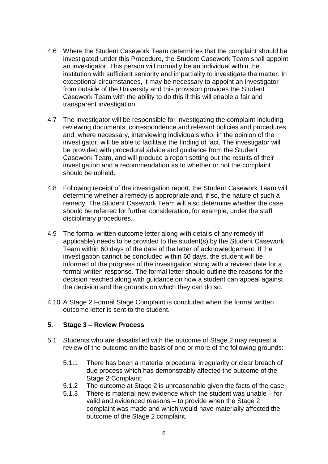- 4.6 Where the Student Casework Team determines that the complaint should be investigated under this Procedure, the Student Casework Team shall appoint an investigator. This person will normally be an individual within the institution with sufficient seniority and impartiality to investigate the matter. In exceptional circumstances, it may be necessary to appoint an investigator from outside of the University and this provision provides the Student Casework Team with the ability to do this if this will enable a fair and transparent investigation.
- 4.7 The investigator will be responsible for investigating the complaint including reviewing documents, correspondence and relevant policies and procedures and, where necessary, interviewing individuals who, in the opinion of the investigator, will be able to facilitate the finding of fact. The investigator will be provided with procedural advice and guidance from the Student Casework Team, and will produce a report setting out the results of their investigation and a recommendation as to whether or not the complaint should be upheld.
- 4.8 Following receipt of the investigation report, the Student Casework Team will determine whether a remedy is appropriate and, if so, the nature of such a remedy. The Student Casework Team will also determine whether the case should be referred for further consideration, for example, under the staff disciplinary procedures.
- 4.9 The formal written outcome letter along with details of any remedy (if applicable) needs to be provided to the student(s) by the Student Casework Team within 60 days of the date of the letter of acknowledgement. If the investigation cannot be concluded within 60 days, the student will be informed of the progress of the investigation along with a revised date for a formal written response. The formal letter should outline the reasons for the decision reached along with guidance on how a student can appeal against the decision and the grounds on which they can do so.
- 4.10 A Stage 2 Formal Stage Complaint is concluded when the formal written outcome letter is sent to the student.

#### **5. Stage 3 – Review Process**

- 5.1 Students who are dissatisfied with the outcome of Stage 2 may request a review of the outcome on the basis of one or more of the following grounds:
	- 5.1.1 There has been a material procedural irregularity or clear breach of due process which has demonstrably affected the outcome of the Stage 2 Complaint;
	- 5.1.2 The outcome at Stage 2 is unreasonable given the facts of the case;
	- 5.1.3 There is material new evidence which the student was unable for valid and evidenced reasons – to provide when the Stage 2 complaint was made and which would have materially affected the outcome of the Stage 2 complaint.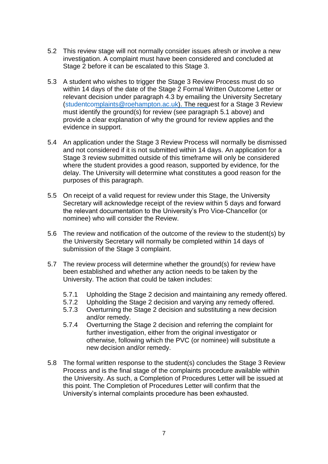- 5.2 This review stage will not normally consider issues afresh or involve a new investigation. A complaint must have been considered and concluded at Stage 2 before it can be escalated to this Stage 3.
- 5.3 A student who wishes to trigger the Stage 3 Review Process must do so within 14 days of the date of the Stage 2 Formal Written Outcome Letter or relevant decision under paragraph 4.3 by emailing the University Secretary [\(studentcomplaints@roehampton.ac.uk\).](mailto:studentcomplaints@roehampton.ac.uk) The request for a Stage 3 Review must identify the ground(s) for review (see paragraph 5.1 above) and provide a clear explanation of why the ground for review applies and the evidence in support.
- 5.4 An application under the Stage 3 Review Process will normally be dismissed and not considered if it is not submitted within 14 days. An application for a Stage 3 review submitted outside of this timeframe will only be considered where the student provides a good reason, supported by evidence, for the delay. The University will determine what constitutes a good reason for the purposes of this paragraph.
- 5.5 On receipt of a valid request for review under this Stage, the University Secretary will acknowledge receipt of the review within 5 days and forward the relevant documentation to the University's Pro Vice-Chancellor (or nominee) who will consider the Review.
- 5.6 The review and notification of the outcome of the review to the student(s) by the University Secretary will normally be completed within 14 days of submission of the Stage 3 complaint.
- 5.7 The review process will determine whether the ground(s) for review have been established and whether any action needs to be taken by the University. The action that could be taken includes:
	- 5.7.1 Upholding the Stage 2 decision and maintaining any remedy offered.
	- 5.7.2 Upholding the Stage 2 decision and varying any remedy offered.
	- 5.7.3 Overturning the Stage 2 decision and substituting a new decision and/or remedy.
	- 5.7.4 Overturning the Stage 2 decision and referring the complaint for further investigation, either from the original investigator or otherwise, following which the PVC (or nominee) will substitute a new decision and/or remedy.
- 5.8 The formal written response to the student(s) concludes the Stage 3 Review Process and is the final stage of the complaints procedure available within the University. As such, a Completion of Procedures Letter will be issued at this point. The Completion of Procedures Letter will confirm that the University's internal complaints procedure has been exhausted.